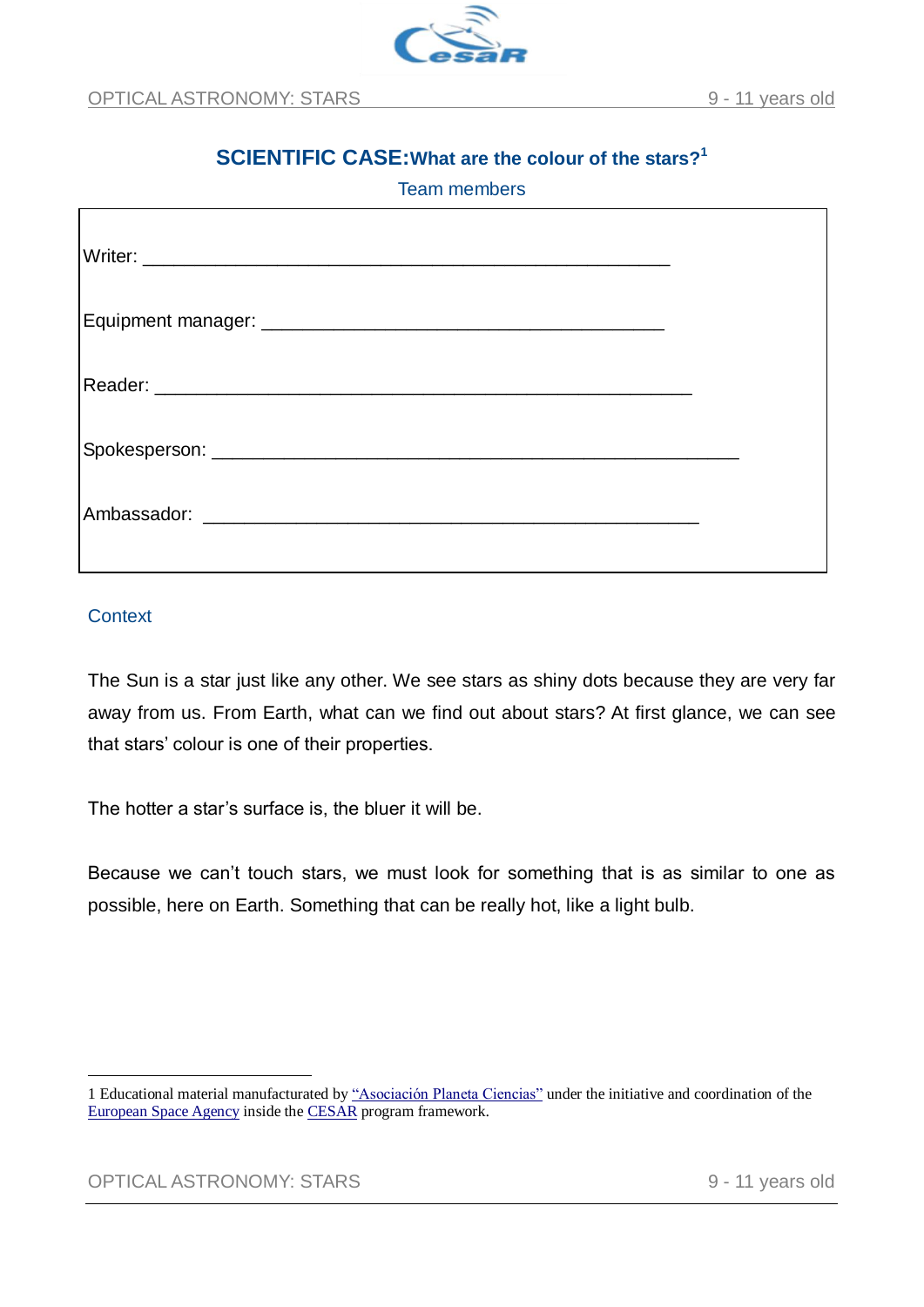

# **SCIENTIFIC CASE:What are the colour of the stars?<sup>1</sup>** Team members

# **Context**

1

The Sun is a star just like any other. We see stars as shiny dots because they are very far away from us. From Earth, what can we find out about stars? At first glance, we can see that stars' colour is one of their properties.

The hotter a star's surface is, the bluer it will be.

Because we can't touch stars, we must look for something that is as similar to one as possible, here on Earth. Something that can be really hot, like a light bulb.

<sup>1</sup> Educational material manufacturated by ["Asociación Planeta Ciencias"](http://planetaciencias.es/) under the initiative and coordination of the [European Space Agency](https://www.esa.int/) inside the [CESAR](http://cesar.esa.int/) program framework.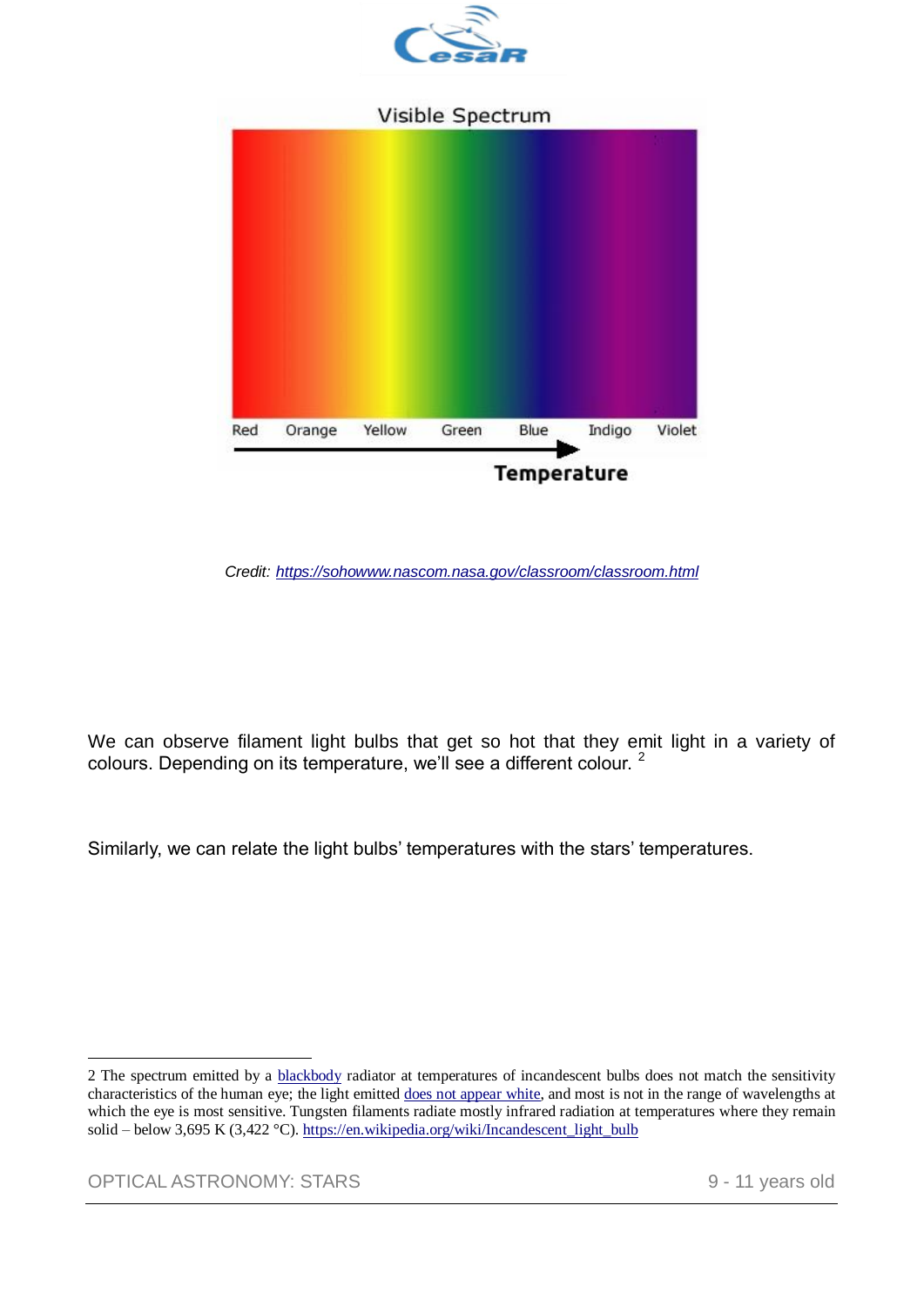

## Visible Spectrum



*Credit: <https://sohowww.nascom.nasa.gov/classroom/classroom.html>*

We can observe filament light bulbs that get so hot that they emit light in a variety of colours. Depending on its temperature, we'll see a different colour. <sup>2</sup>

Similarly, we can relate the light bulbs' temperatures with the stars' temperatures.

OPTICAL ASTRONOMY: STARS 9 - 11 years old

<u>.</u>

<sup>2</sup> The spectrum emitted by a [blackbody](https://en.wikipedia.org/wiki/Blackbody) radiator at temperatures of incandescent bulbs does not match the sensitivity characteristics of the human eye; the light emitted [does not appear white,](https://en.wikipedia.org/wiki/White_balance) and most is not in the range of wavelengths at which the eye is most sensitive. Tungsten filaments radiate mostly infrared radiation at temperatures where they remain solid – below 3,695 K (3,422 °C). [https://en.wikipedia.org/wiki/Incandescent\\_light\\_bulb](https://en.wikipedia.org/wiki/Incandescent_light_bulb)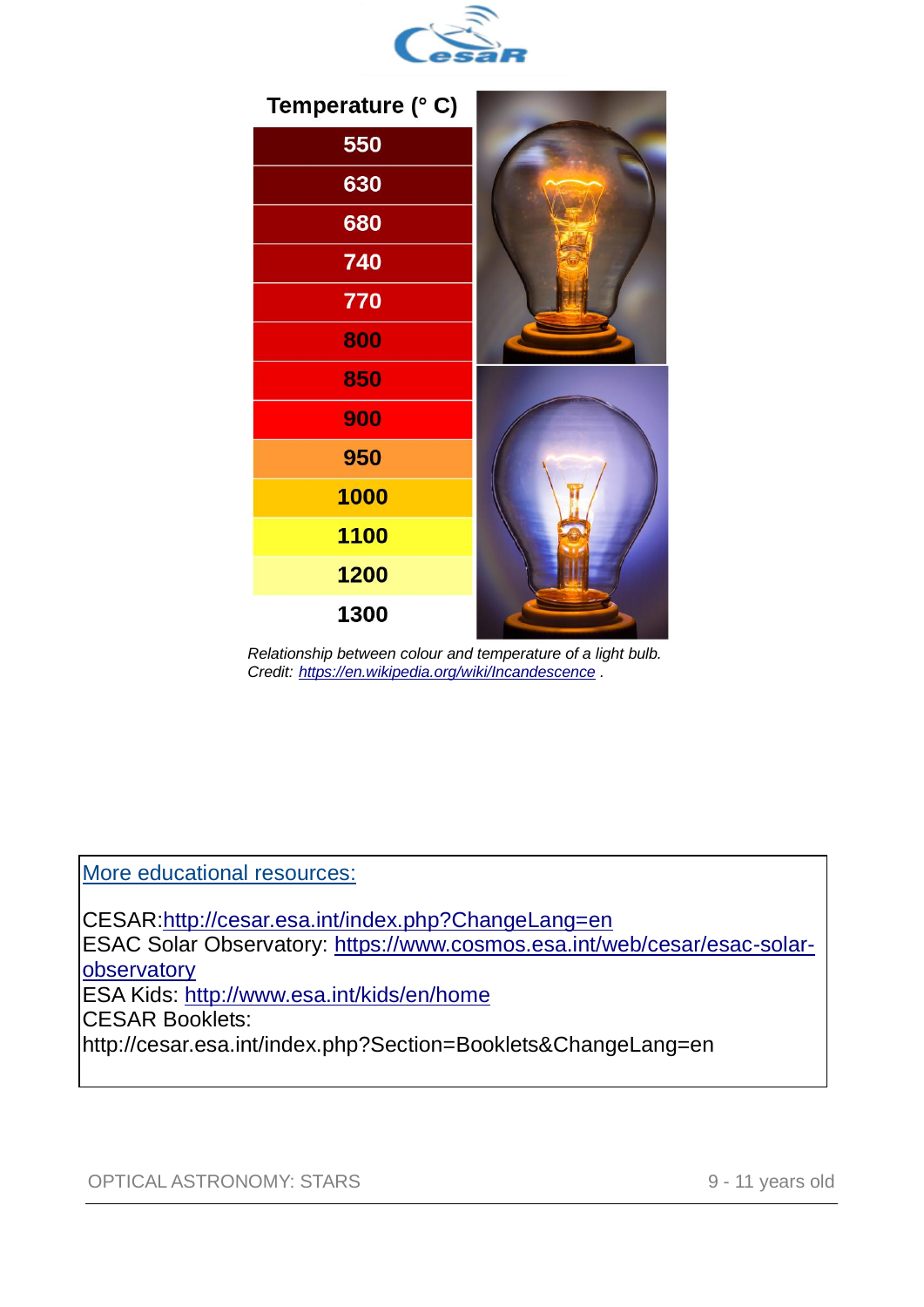



 *Relationship between colour and temperature of a light bulb. Credit: <https://en.wikipedia.org/wiki/Incandescence> .*

More educational resources:

CESAR[:http://cesar.esa.int/index.php?ChangeLang=en](http://cesar.esa.int/index.php?ChangeLang=en) ESAC Solar Observatory: [https://www.cosmos.esa.int/web/cesar/esac-solar](https://www.cosmos.esa.int/web/cesar/esac-solar-observatory)[observatory](https://www.cosmos.esa.int/web/cesar/esac-solar-observatory) ESA Kids:<http://www.esa.int/kids/en/home> CESAR Booklets: <http://cesar.esa.int/index.php?Section=Booklets&ChangeLang=en>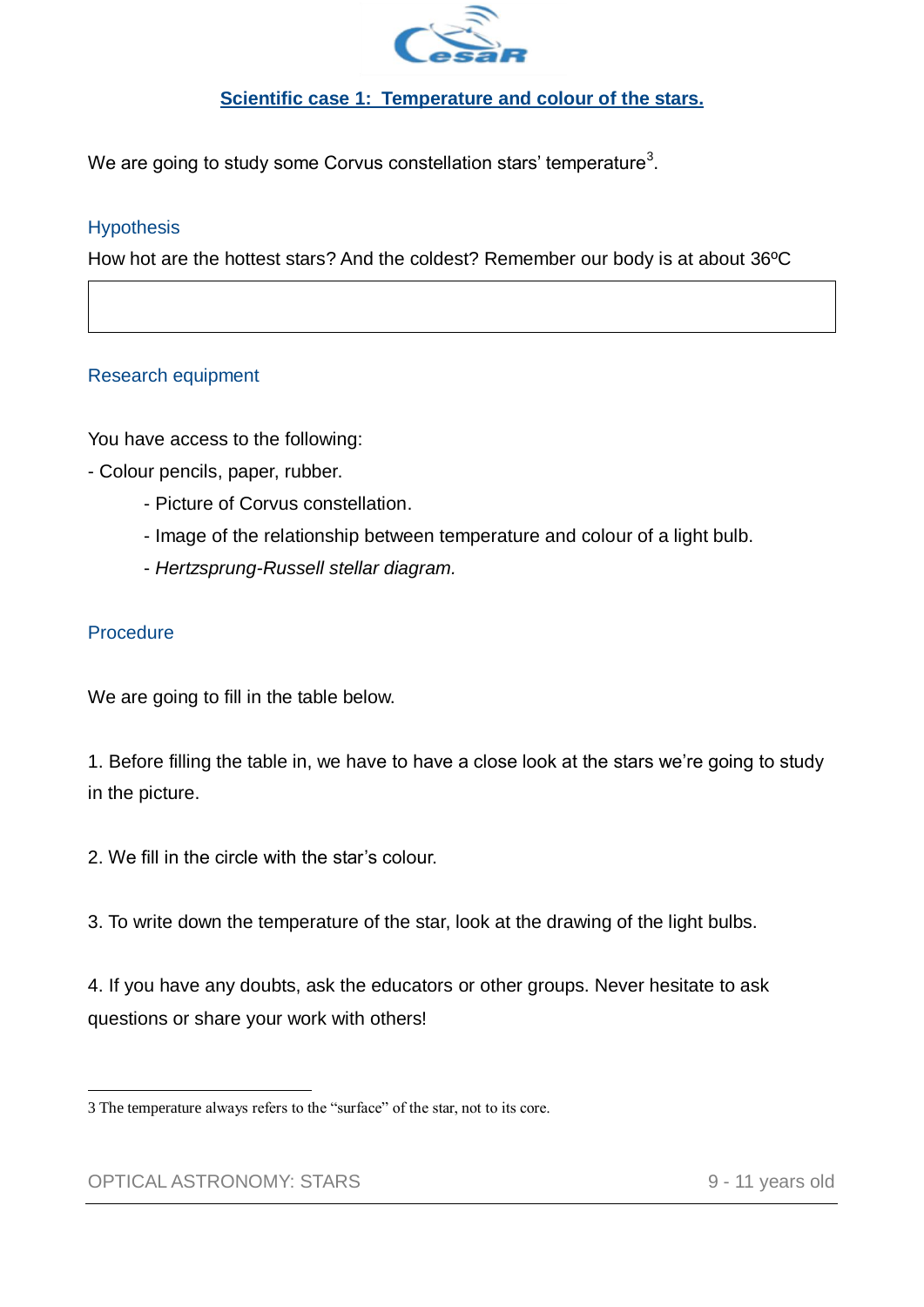

# **Scientific case 1: Temperature and colour of the stars.**

We are going to study some Corvus constellation stars' temperature $^3\!$ 

## **Hypothesis**

How hot are the hottest stars? And the coldest? Remember our body is at about 36ºC

### Research equipment

You have access to the following:

- Colour pencils, paper, rubber.
	- Picture of Corvus constellation.
	- Image of the relationship between temperature and colour of a light bulb.
	- *Hertzsprung-Russell stellar diagram.*

### **Procedure**

We are going to fill in the table below.

1. Before filling the table in, we have to have a close look at the stars we're going to study in the picture.

2. We fill in the circle with the star's colour.

3. To write down the temperature of the star, look at the drawing of the light bulbs.

4. If you have any doubts, ask the educators or other groups. Never hesitate to ask questions or share your work with others!

<sup>1</sup> 3 The temperature always refers to the "surface" of the star, not to its core.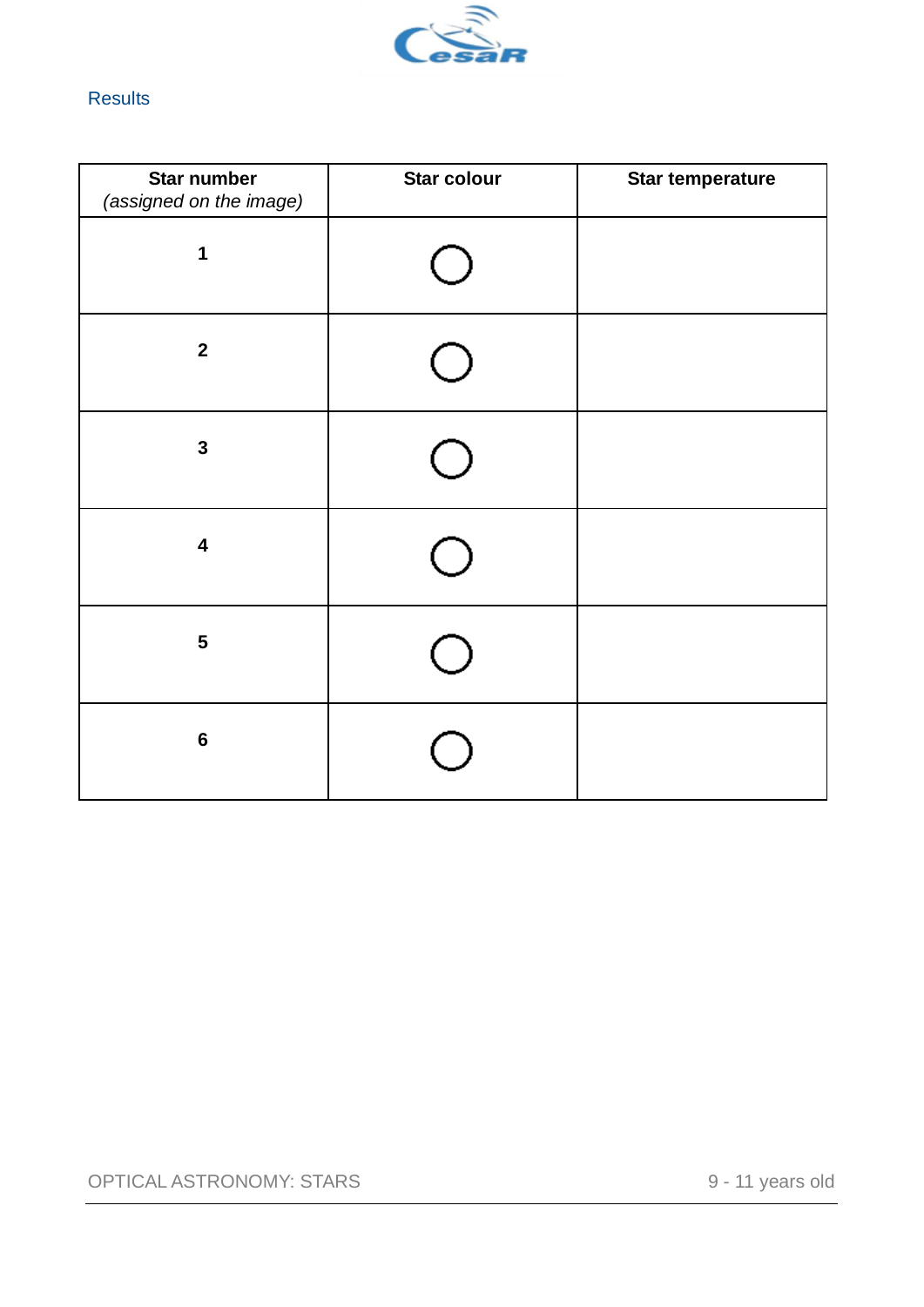

# **Results**

| <b>Star number</b><br>(assigned on the image) | <b>Star colour</b> | <b>Star temperature</b> |
|-----------------------------------------------|--------------------|-------------------------|
| 1                                             |                    |                         |
| $\mathbf{2}$                                  |                    |                         |
| $\mathbf{3}$                                  |                    |                         |
| $\overline{\mathbf{4}}$                       |                    |                         |
| $\overline{\mathbf{5}}$                       |                    |                         |
| $\bf 6$                                       |                    |                         |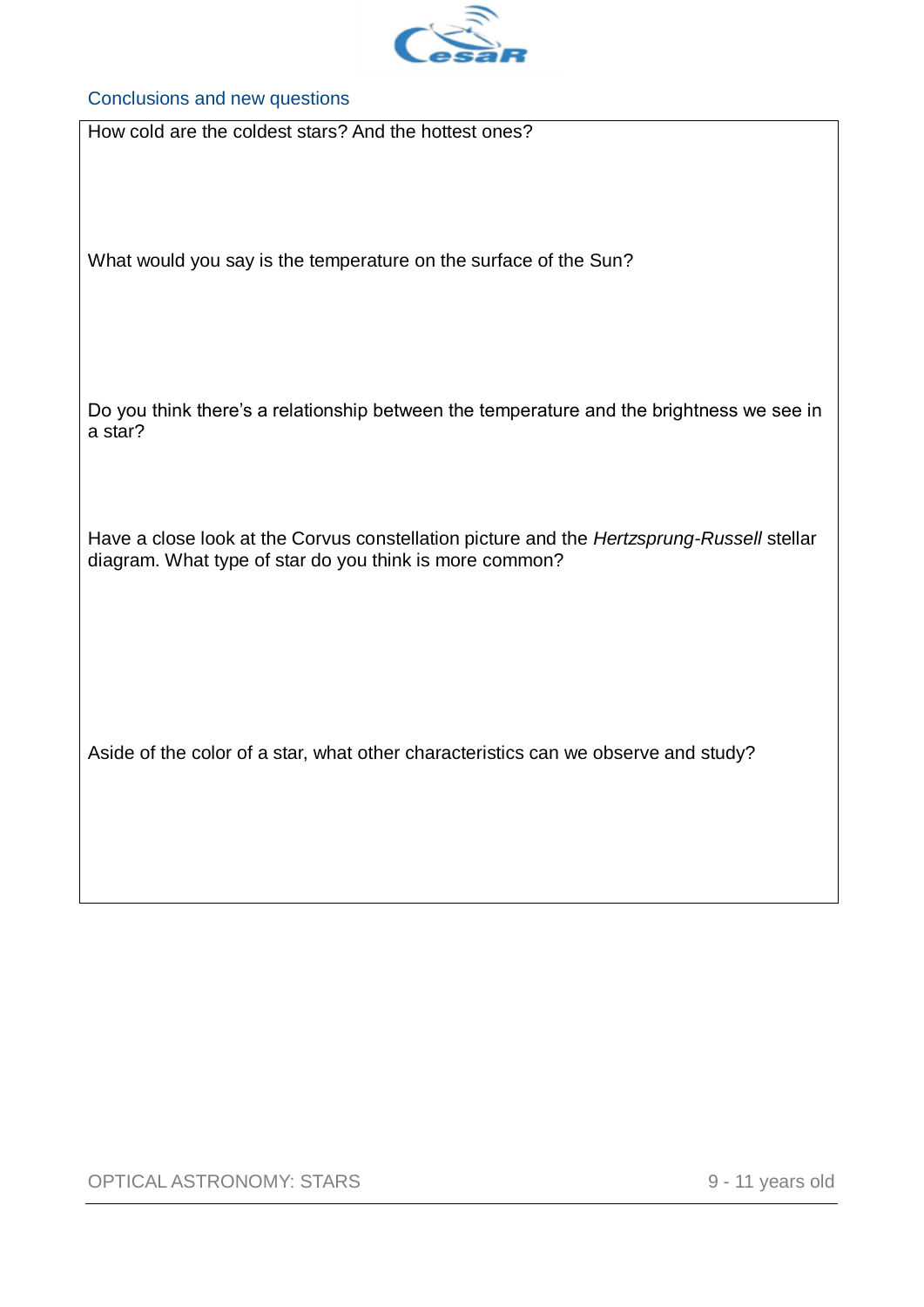

#### Conclusions and new questions

How cold are the coldest stars? And the hottest ones?

What would you say is the temperature on the surface of the Sun?

Do you think there's a relationship between the temperature and the brightness we see in a star?

Have a close look at the Corvus constellation picture and the *Hertzsprung-Russell* stellar diagram. What type of star do you think is more common?

Aside of the color of a star, what other characteristics can we observe and study?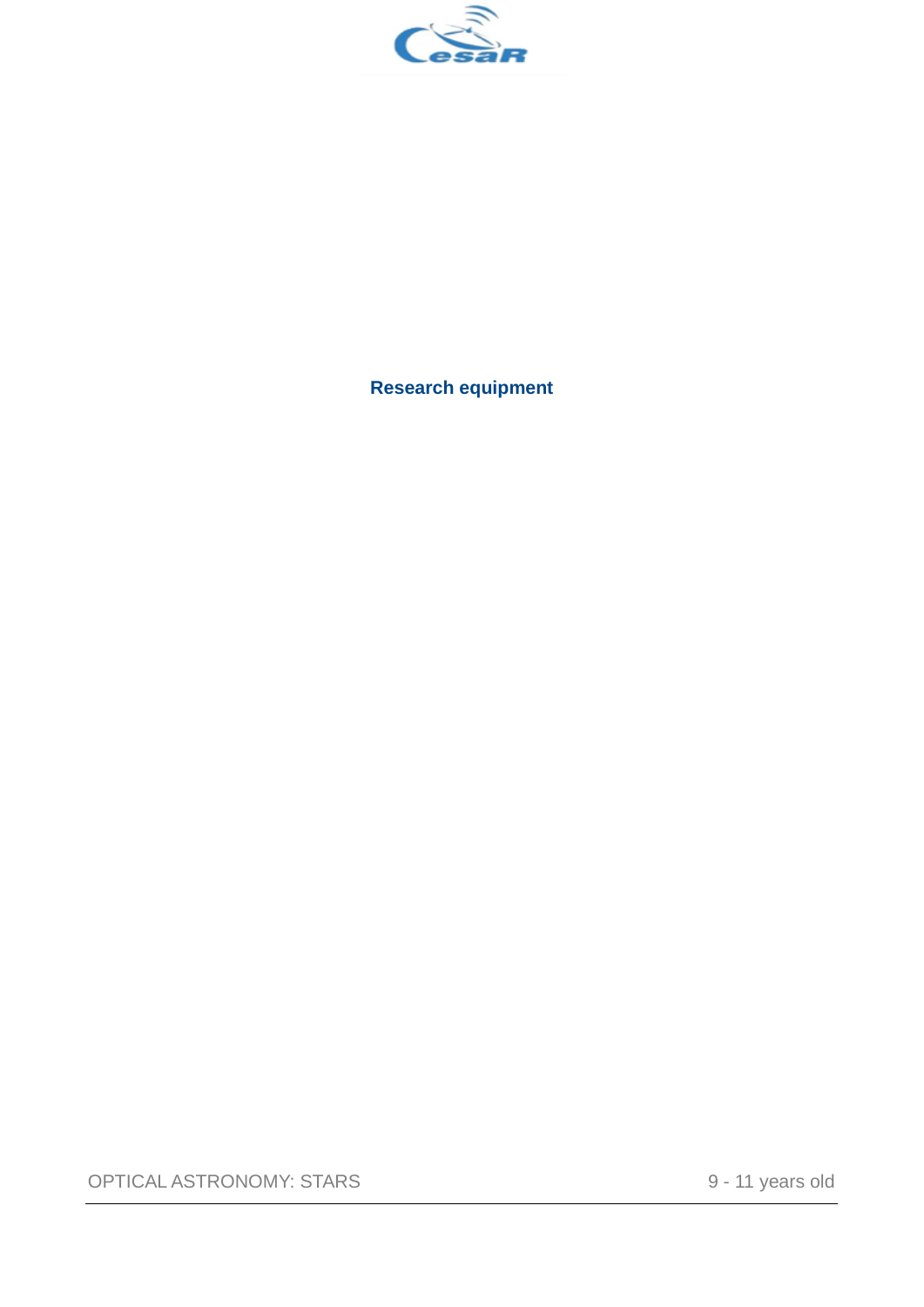

**Research equipment**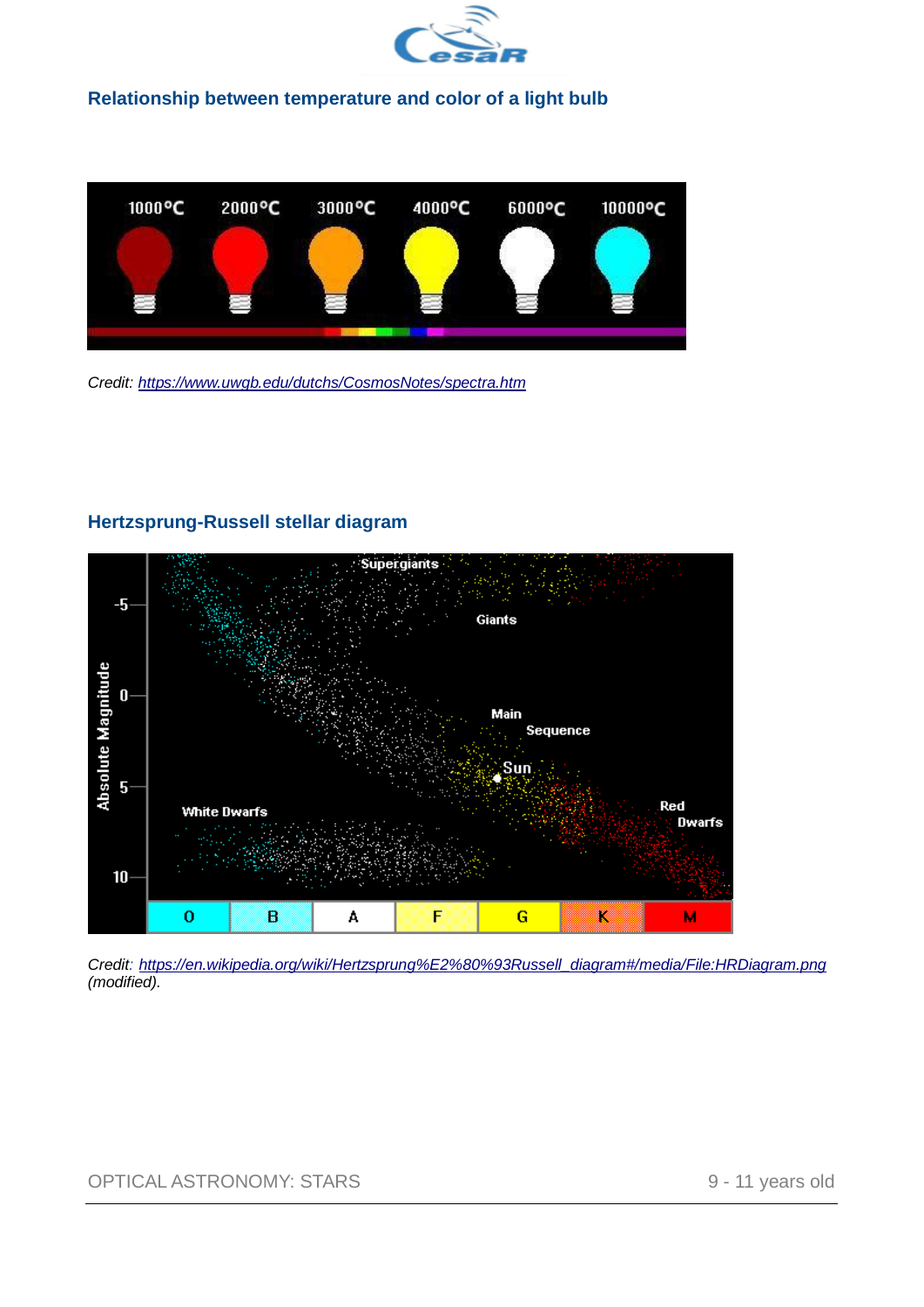

#### **Relationship between temperature and color of a light bulb**



*Credit:<https://www.uwgb.edu/dutchs/CosmosNotes/spectra.htm>*

# **Hertzsprung-Russell stellar diagram**



*Credit: [https://en.wikipedia.org/wiki/Hertzsprung%E2%80%93Russell\\_diagram#/media/File:HRDiagram.png](https://en.wikipedia.org/wiki/Hertzsprung–Russell_diagram#/media/File:HRDiagram.png) (modified).*